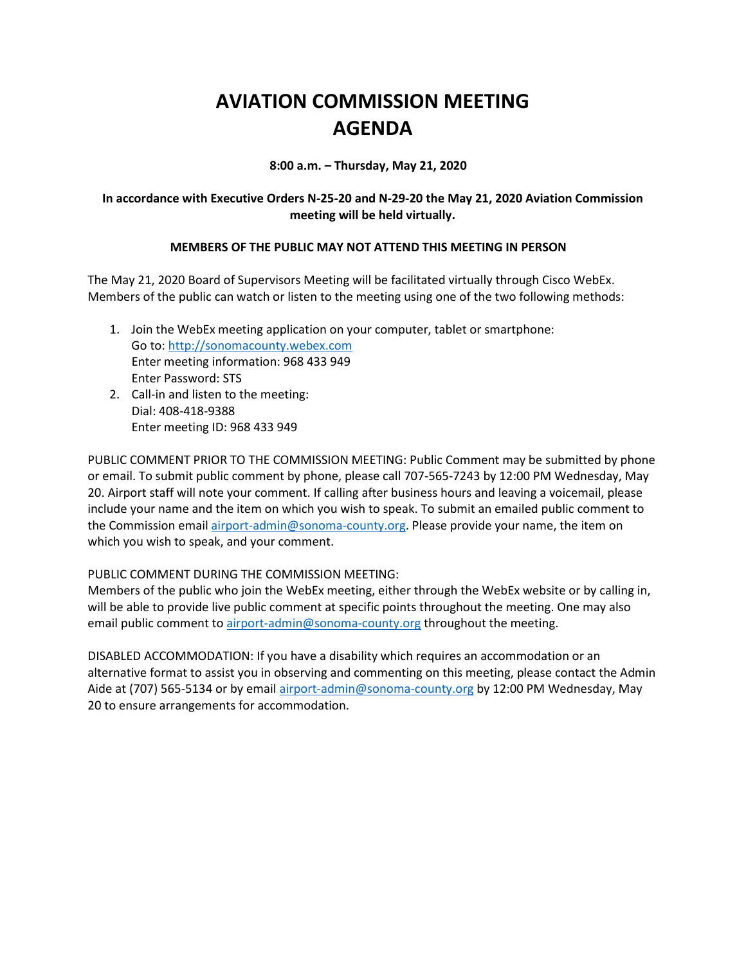# **AVIATION COMMISSION MEETING AGENDA**

**8:00 a.m. – Thursday, May 21, 2020**

## **In accordance with Executive Orders N-25-20 and N-29-20 the May 21, 2020 Aviation Commission meeting will be held virtually.**

## **MEMBERS OF THE PUBLIC MAY NOT ATTEND THIS MEETING IN PERSON**

The May 21, 2020 Board of Supervisors Meeting will be facilitated virtually through Cisco WebEx. Members of the public can watch or listen to the meeting using one of the two following methods:

- 1. Join the WebEx meeting application on your computer, tablet or smartphone: Go to: http://sonomacounty.webex.com Enter meeting information: 968 433 949 Enter Password: STS
- 2. Call-in and listen to the meeting: Dial: 408-418-9388 Enter meeting ID: 968 433 949

PUBLIC COMMENT PRIOR TO THE COMMISSION MEETING: Public Comment may be submitted by phone or email. To submit public comment by phone, please call 707-565-7243 by 12:00 PM Wednesday, May 20. Airport staff will note your comment. If calling after business hours and leaving a voicemail, please include your name and the item on which you wish to speak. To submit an emailed public comment to the Commission email airport-admin@sonoma-county.org. Please provide your name, the item on which you wish to speak, and your comment.

#### PUBLIC COMMENT DURING THE COMMISSION MEETING:

Members of the public who join the WebEx meeting, either through the WebEx website or by calling in, will be able to provide live public comment at specific points throughout the meeting. One may also email public comment to airport-admin@sonoma-county.org throughout the meeting.

DISABLED ACCOMMODATION: If you have a disability which requires an accommodation or an alternative format to assist you in observing and commenting on this meeting, please contact the Admin Aide at (707) 565-5134 or by email airport-admin@sonoma-county.org by 12:00 PM Wednesday, May 20 to ensure arrangements for accommodation.